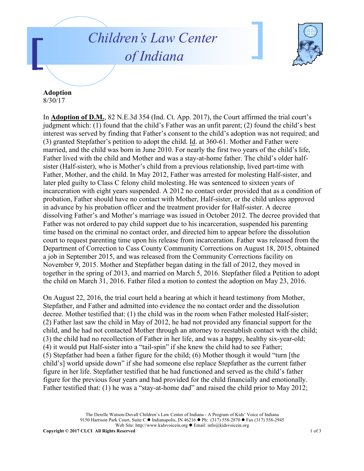## *Children's Law Center of Indiana*



## **Adoption**

8/30/17

In **Adoption of D.M.**, 82 N.E.3d 354 (Ind. Ct. App. 2017), the Court affirmed the trial court's judgment which: (1) found that the child's Father was an unfit parent; (2) found the child's best interest was served by finding that Father's consent to the child's adoption was not required; and (3) granted Stepfather's petition to adopt the child. Id. at 360-61. Mother and Father were married, and the child was born in June 2010. For nearly the first two years of the child's life, Father lived with the child and Mother and was a stay-at-home father. The child's older halfsister (Half-sister), who is Mother's child from a previous relationship, lived part-time with Father, Mother, and the child. In May 2012, Father was arrested for molesting Half-sister, and later pled guilty to Class C felony child molesting. He was sentenced to sixteen years of incarceration with eight years suspended. A 2012 no contact order provided that as a condition of probation, Father should have no contact with Mother, Half-sister, or the child unless approved in advance by his probation officer and the treatment provider for Half-sister. A decree dissolving Father's and Mother's marriage was issued in October 2012. The decree provided that Father was not ordered to pay child support due to his incarceration, suspended his parenting time based on the criminal no contact order, and directed him to appear before the dissolution court to request parenting time upon his release from incarceration. Father was released from the Department of Correction to Cass County Community Corrections on August 18, 2015, obtained a job in September 2015, and was released from the Community Corrections facility on November 9, 2015. Mother and Stepfather began dating in the fall of 2012, they moved in together in the spring of 2013, and married on March 5, 2016. Stepfather filed a Petition to adopt the child on March 31, 2016. Father filed a motion to contest the adoption on May 23, 2016.

On August 22, 2016, the trial court held a hearing at which it heard testimony from Mother, Stepfather, and Father and admitted into evidence the no contact order and the dissolution decree. Mother testified that: (1) the child was in the room when Father molested Half-sister; (2) Father last saw the child in May of 2012, he had not provided any financial support for the child, and he had not contacted Mother through an attorney to reestablish contact with the child; (3) the child had no recollection of Father in her life, and was a happy, healthy six-year-old; (4) it would put Half-sister into a "tail-spin" if she knew the child had to see Father; (5) Stepfather had been a father figure for the child; (6) Mother though it would "turn [the child's] world upside down" if she had someone else replace Stepfather as the current father figure in her life. Stepfather testified that he had functioned and served as the child's father figure for the previous four years and had provided for the child financially and emotionally. Father testified that: (1) he was a "stay-at-home dad" and raised the child prior to May 2012;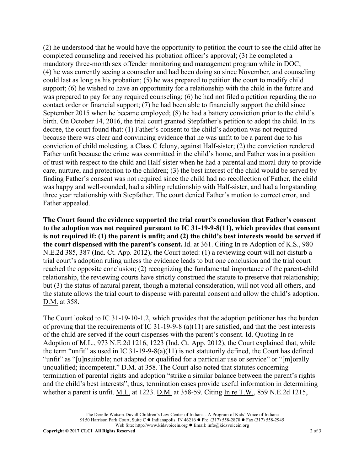(2) he understood that he would have the opportunity to petition the court to see the child after he completed counseling and received his probation officer's approval; (3) he completed a mandatory three-month sex offender monitoring and management program while in DOC; (4) he was currently seeing a counselor and had been doing so since November, and counseling could last as long as his probation; (5) he was prepared to petition the court to modify child support; (6) he wished to have an opportunity for a relationship with the child in the future and was prepared to pay for any required counseling; (6) he had not filed a petition regarding the no contact order or financial support; (7) he had been able to financially support the child since September 2015 when he became employed; (8) he had a battery conviction prior to the child's birth. On October 14, 2016, the trial court granted Stepfather's petition to adopt the child. In its decree, the court found that: (1) Father's consent to the child's adoption was not required because there was clear and convincing evidence that he was unfit to be a parent due to his conviction of child molesting, a Class C felony, against Half-sister; (2) the conviction rendered Father unfit because the crime was committed in the child's home, and Father was in a position of trust with respect to the child and Half-sister when he had a parental and moral duty to provide care, nurture, and protection to the children; (3) the best interest of the child would be served by finding Father's consent was not required since the child had no recollection of Father, the child was happy and well-rounded, had a sibling relationship with Half-sister, and had a longstanding three year relationship with Stepfather. The court denied Father's motion to correct error, and Father appealed.

**The Court found the evidence supported the trial court's conclusion that Father's consent to the adoption was not required pursuant to IC 31-19-9-8(11), which provides that consent is not required if: (1) the parent is unfit; and (2) the child's best interests would be served if the court dispensed with the parent's consent.** Id. at 361. Citing In re Adoption of K.S., 980 N.E.2d 385, 387 (Ind. Ct. App. 2012), the Court noted: (1) a reviewing court will not disturb a trial court's adoption ruling unless the evidence leads to but one conclusion and the trial court reached the opposite conclusion; (2) recognizing the fundamental importance of the parent-child relationship, the reviewing courts have strictly construed the statute to preserve that relationship; but (3) the status of natural parent, though a material consideration, will not void all others, and the statute allows the trial court to dispense with parental consent and allow the child's adoption. D.M. at 358.

The Court looked to IC 31-19-10-1.2, which provides that the adoption petitioner has the burden of proving that the requirements of IC 31-19-9-8 (a)(11) are satisfied, and that the best interests of the child are served if the court dispenses with the parent's consent. Id. Quoting In re Adoption of M.L., 973 N.E.2d 1216, 1223 (Ind. Ct. App. 2012), the Court explained that, while the term "unfit" as used in IC 31-19-9-8(a)(11) is not statutorily defined, the Court has defined "unfit" as "[u]nsuitable; not adapted or qualified for a particular use or service" or "[m]orally unqualified; incompetent." <u>D.M.</u> at 358. The Court also noted that statutes concerning termination of parental rights and adoption "strike a similar balance between the parent's rights and the child's best interests"; thus, termination cases provide useful information in determining whether a parent is unfit. M.L. at 1223. D.M. at 358-59. Citing In re T.W., 859 N.E.2d 1215,